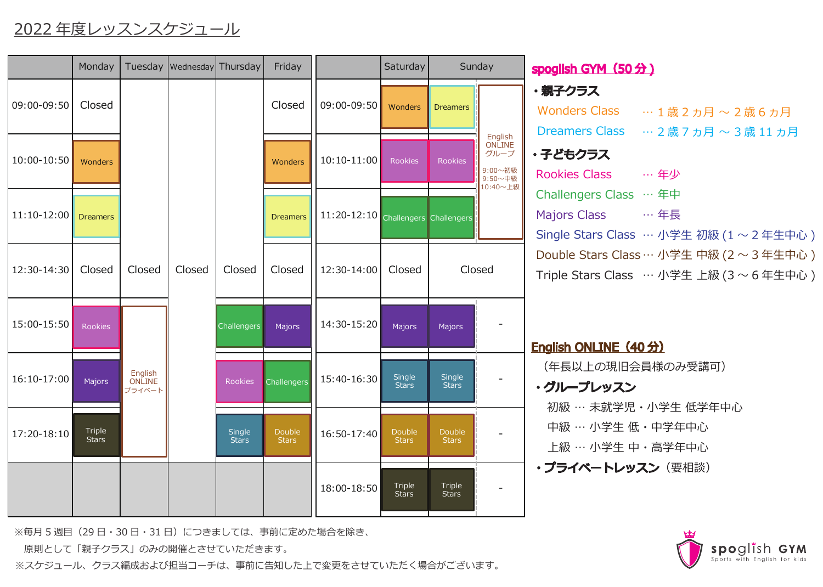## 2022 年度レッスンスケジュール

|               | Monday                 |                                    | Tuesday   Wednesday   Thursday |                        | Friday                 |                                     | Saturday                      | Sunday                 |                                                             | spoglish GYM (50分)                                                                   |
|---------------|------------------------|------------------------------------|--------------------------------|------------------------|------------------------|-------------------------------------|-------------------------------|------------------------|-------------------------------------------------------------|--------------------------------------------------------------------------------------|
| 09:00-09:50   | Closed                 |                                    |                                |                        | Closed                 | 09:00-09:50                         | Wonders                       | <b>Dreamers</b>        |                                                             | ・親子クラス<br>Wonders Class … 1歳2ヵ月~2歳6ヵ月<br>Dreamers Class … 2歳7ヵ月~3歳11ヵ月               |
| $10:00-10:50$ | Wonders                |                                    |                                |                        | Wonders                | $10:10 - 11:00$                     | Rookies                       | <b>Rookies</b>         | English<br>ONLINE<br>グループ<br>9:00~初級<br>9:50~中級<br>10:40~上級 | ・子どもクラス<br>Rookies Class … 年少                                                        |
| $11:10-12:00$ | <b>Dreamers</b>        |                                    |                                |                        | <b>Dreamers</b>        | 11:20-12:10 Challengers Challengers |                               |                        |                                                             | Challengers Class … 年中<br>Majors Class … 年長<br>Single Stars Class … 小学生 初級 (1~2年生中心) |
| 12:30-14:30   | Closed                 | Closed                             | Closed                         | Closed                 | Closed                 | 12:30-14:00                         | Closed                        | Closed                 |                                                             | Double Stars Class…小学生 中級 (2~3年生中心)<br>Triple Stars Class … 小学生 上級 (3 ~ 6 年生中心)      |
| 15:00-15:50   | Rookies                |                                    |                                | <b>Challengers</b>     | Majors                 | 14:30-15:20                         | Majors                        | Majors                 |                                                             | English ONLINE (40分)                                                                 |
| $16:10-17:00$ | Majors                 | English<br><b>ONLINE</b><br>プライベート |                                | Rookies                | <b>Challengers</b>     | 15:40-16:30                         | Single<br><b>Stars</b>        | Single<br><b>Stars</b> |                                                             | (年長以上の現旧会員様のみ受講可)<br>・グループレッスン<br>初級 … 未就学児・小学生 低学年中心                                |
| 17:20-18:10   | Triple<br><b>Stars</b> |                                    |                                | Single<br><b>Stars</b> | Double<br><b>Stars</b> | 16:50-17:40                         | <b>Double</b><br><b>Stars</b> | Double<br><b>Stars</b> |                                                             | 中級 … 小学生 低・中学年中心<br>上級 … 小学生 中・高学年中心                                                 |
|               |                        |                                    |                                |                        |                        | 18:00-18:50                         | <b>Triple</b><br><b>Stars</b> | Triple<br><b>Stars</b> | $\blacksquare$                                              | ・プライベートレッスン(要相談)                                                                     |

※毎月5週目(29日·30日·31日)につきましては、事前に定めた場合を除き、

原則として「親子クラス」のみの開催とさせていただきます。

※スケジュール、クラス編成および担当コーチは、事前に告知した上で変更をさせていただく場合がございます。

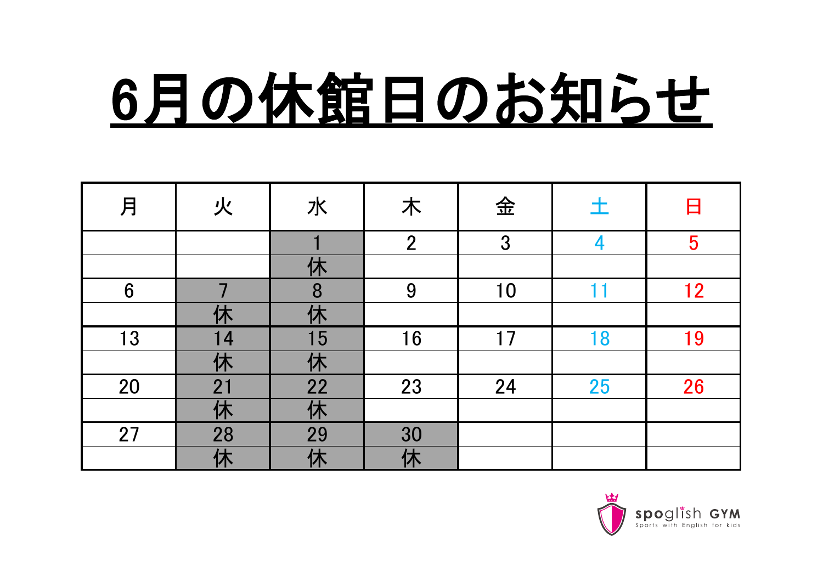## 6月の休館日のお知らせ

| 月               | 火               | 水              | 木               | 金  | 土  | 日  |
|-----------------|-----------------|----------------|-----------------|----|----|----|
|                 |                 |                | $\overline{2}$  | 3  | 4  | 5  |
|                 |                 | 仕              |                 |    |    |    |
| $6\phantom{1}6$ |                 | 8              | 9               | 10 |    | 12 |
|                 | 休               | 仕              |                 |    |    |    |
| 13              | 14              | 15             | 16              | 17 | 18 | 19 |
|                 | 休               | 休              |                 |    |    |    |
| 20              | 21              | 22             | 23              | 24 | 25 | 26 |
|                 | 休               | 休              |                 |    |    |    |
| 27              | $\overline{28}$ | 29             | 30              |    |    |    |
|                 | 休               | $\overline{ }$ | ſ <del>J.</del> |    |    |    |

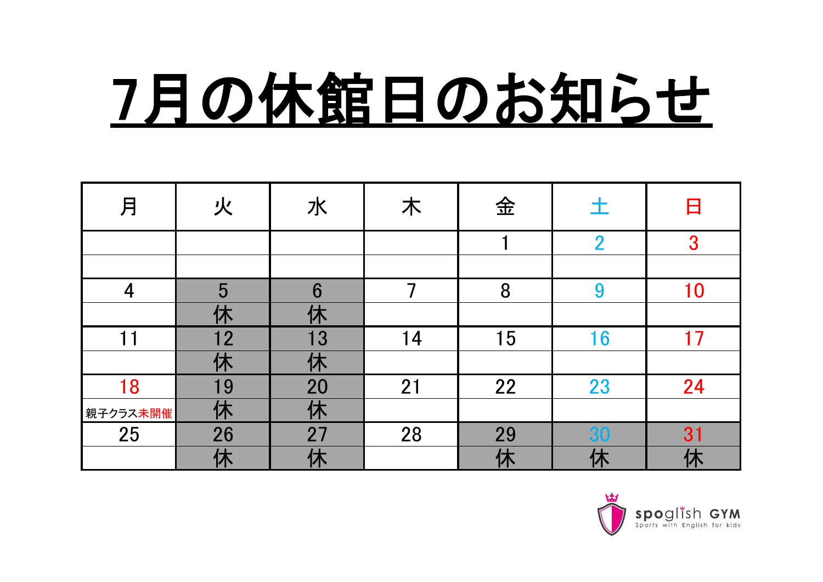## 7月の休館日のお知らせ

| 月        | 火                                       | 水  | 木  | 金  | 土              | 日        |
|----------|-----------------------------------------|----|----|----|----------------|----------|
|          |                                         |    |    |    | $\overline{2}$ | 3        |
|          |                                         |    |    |    |                |          |
| 4        | 5                                       | 6  |    | 8  | 9              | $\Omega$ |
|          |                                         |    |    |    |                |          |
| 11       | 12                                      | 13 | 14 | 15 | 16             | 7        |
|          | $\overline{ }$<br>$\bm{\Lambda}$        | 休  |    |    |                |          |
| 18       | 19                                      | 20 | 21 | 22 | 23             | 24       |
| 親子クラス未開催 | 休                                       | 休  |    |    |                |          |
| 25       | 26                                      | 27 | 28 | 29 | 30             | 31       |
|          | $\mathbf{\mathbf{\mathbf{\mathbf{+}}}}$ |    |    | 休  |                |          |